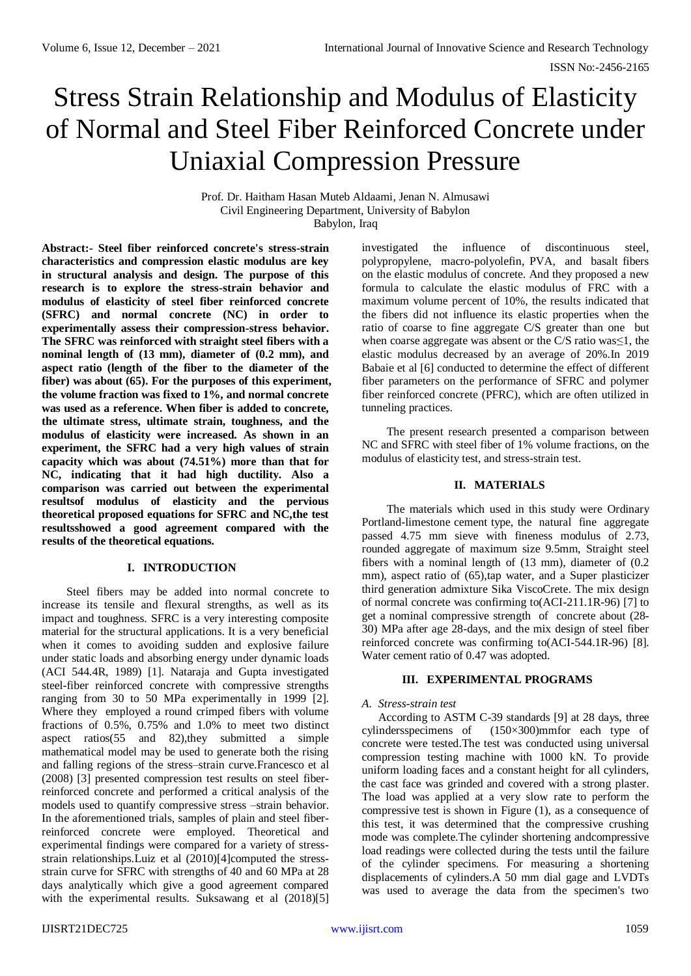# Stress Strain Relationship and Modulus of Elasticity of Normal and Steel Fiber Reinforced Concrete under Uniaxial Compression Pressure

Prof. Dr. Haitham Hasan Muteb Aldaami, Jenan N. Almusawi Civil Engineering Department, University of Babylon Babylon, Iraq

**Abstract:- Steel fiber reinforced concrete's stress-strain characteristics and compression elastic modulus are key in structural analysis and design. The purpose of this research is to explore the stress-strain behavior and modulus of elasticity of steel fiber reinforced concrete (SFRC) and normal concrete (NC) in order to experimentally assess their compression-stress behavior. The SFRC was reinforced with straight steel fibers with a nominal length of (13 mm), diameter of (0.2 mm), and aspect ratio (length of the fiber to the diameter of the fiber) was about (65). For the purposes of this experiment, the volume fraction was fixed to 1%, and normal concrete was used as a reference. When fiber is added to concrete, the ultimate stress, ultimate strain, toughness, and the modulus of elasticity were increased. As shown in an experiment, the SFRC had a very high values of strain capacity which was about (74.51%) more than that for NC, indicating that it had high ductility. Also a comparison was carried out between the experimental resultsof modulus of elasticity and the pervious theoretical proposed equations for SFRC and NC,the test resultsshowed a good agreement compared with the results of the theoretical equations.**

# **I. INTRODUCTION**

Steel fibers may be added into normal concrete to increase its tensile and flexural strengths, as well as its impact and toughness. SFRC is a very interesting composite material for the structural applications. It is a very beneficial when it comes to avoiding sudden and explosive failure under static loads and absorbing energy under dynamic loads (ACI 544.4R, 1989) [1]. Nataraja and Gupta investigated steel-fiber reinforced concrete with compressive strengths ranging from 30 to 50 MPa experimentally in 1999 [2]. Where they employed a round crimped fibers with volume fractions of 0.5%, 0.75% and 1.0% to meet two distinct aspect ratios(55 and 82),they submitted a simple mathematical model may be used to generate both the rising and falling regions of the stress–strain curve.Francesco et al (2008) [3] presented compression test results on steel fiberreinforced concrete and performed a critical analysis of the models used to quantify compressive stress –strain behavior. In the aforementioned trials, samples of plain and steel fiberreinforced concrete were employed. Theoretical and experimental findings were compared for a variety of stressstrain relationships.Luiz et al (2010)[4]computed the stressstrain curve for SFRC with strengths of 40 and 60 MPa at 28 days analytically which give a good agreement compared with the experimental results. Suksawang et al (2018)[5] investigated the influence of discontinuous steel, polypropylene, macro-polyolefin, PVA, and basalt fibers on the elastic modulus of concrete. And they proposed a new formula to calculate the elastic modulus of FRC with a maximum volume percent of 10%, the results indicated that the fibers did not influence its elastic properties when the ratio of coarse to fine aggregate C/S greater than one but when coarse aggregate was absent or the C/S ratio was≤1, the elastic modulus decreased by an average of 20%.In 2019 Babaie et al [6] conducted to determine the effect of different fiber parameters on the performance of SFRC and polymer fiber reinforced concrete (PFRC), which are often utilized in tunneling practices.

The present research presented a comparison between NC and SFRC with steel fiber of 1% volume fractions, on the modulus of elasticity test, and stress-strain test.

# **II. MATERIALS**

The materials which used in this study were Ordinary Portland-limestone cement type, the natural fine aggregate passed 4.75 mm sieve with fineness modulus of 2.73, rounded aggregate of maximum size 9.5mm, Straight steel fibers with a nominal length of (13 mm), diameter of (0.2 mm), aspect ratio of (65), tap water, and a Super plasticizer third generation admixture Sika ViscoCrete. The mix design of normal concrete was confirming to(ACI-211.1R-96) [7] to get a nominal compressive strength of concrete about (28- 30) MPa after age 28-days, and the mix design of steel fiber reinforced concrete was confirming to(ACI-544.1R-96) [8]. Water cement ratio of 0.47 was adopted.

#### **III. EXPERIMENTAL PROGRAMS**

# *A. Stress-strain test*

According to ASTM C-39 standards [9] at 28 days, three cylindersspecimens of (150×300)mmfor each type of concrete were tested.The test was conducted using universal compression testing machine with 1000 kN. To provide uniform loading faces and a constant height for all cylinders, the cast face was grinded and covered with a strong plaster. The load was applied at a very slow rate to perform the compressive test is shown in Figure (1), as a consequence of this test, it was determined that the compressive crushing mode was complete.The cylinder shortening andcompressive load readings were collected during the tests until the failure of the cylinder specimens. For measuring a shortening displacements of cylinders.A 50 mm dial gage and LVDTs was used to average the data from the specimen's two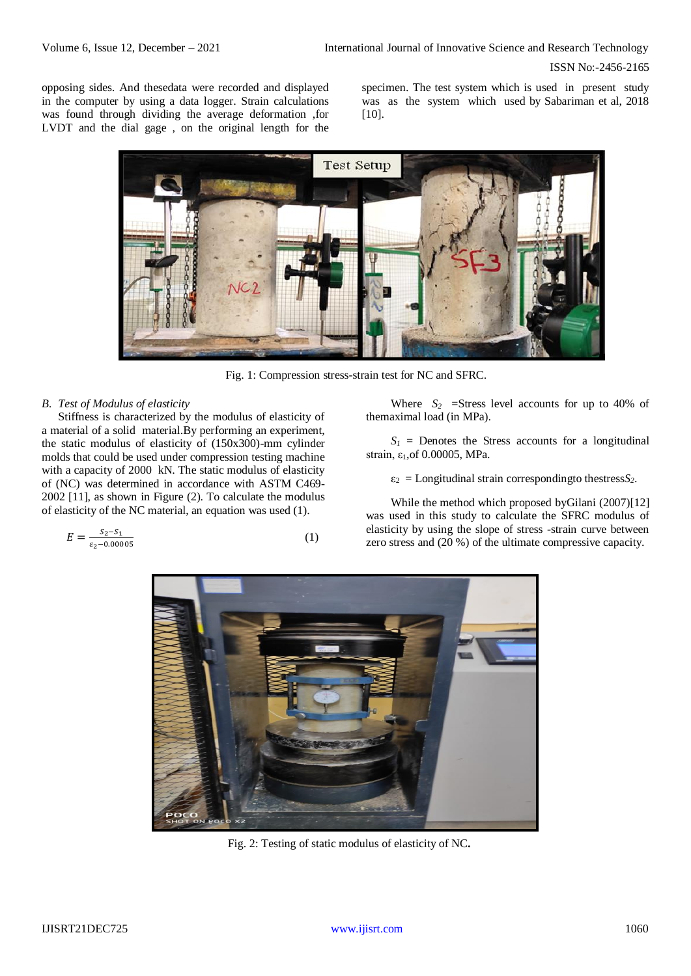ISSN No:-2456-2165

opposing sides. And thesedata were recorded and displayed in the computer by using a data logger. Strain calculations was found through dividing the average deformation ,for LVDT and the dial gage , on the original length for the

specimen. The test system which is used in present study was as the system which used by Sabariman et al, 2018 [10].



Fig. 1: Compression stress-strain test for NC and SFRC.

### *B. Test of Modulus of elasticity*

Stiffness is characterized by the modulus of elasticity of a material of a solid material.By performing an experiment, the static modulus of elasticity of (150x300)-mm cylinder molds that could be used under compression testing machine with a capacity of 2000 kN. The static modulus of elasticity of (NC) was determined in accordance with ASTM C469- 2002 [11], as shown in Figure (2). To calculate the modulus of elasticity of the NC material, an equation was used (1).

$$
E = \frac{s_2 - s_1}{\varepsilon_2 - 0.00005} \tag{1}
$$

Where  $S_2$  =Stress level accounts for up to 40% of themaximal load (in MPa).

 $S_1$  = Denotes the Stress accounts for a longitudinal strain, ε1,of 0.00005, MPa.

 $\varepsilon_2$  = Longitudinal strain corresponding to the stress  $S_2$ .

While the method which proposed byGilani (2007)[12] was used in this study to calculate the SFRC modulus of elasticity by using the slope of stress -strain curve between zero stress and (20 %) of the ultimate compressive capacity.



Fig. 2: Testing of static modulus of elasticity of NC**.**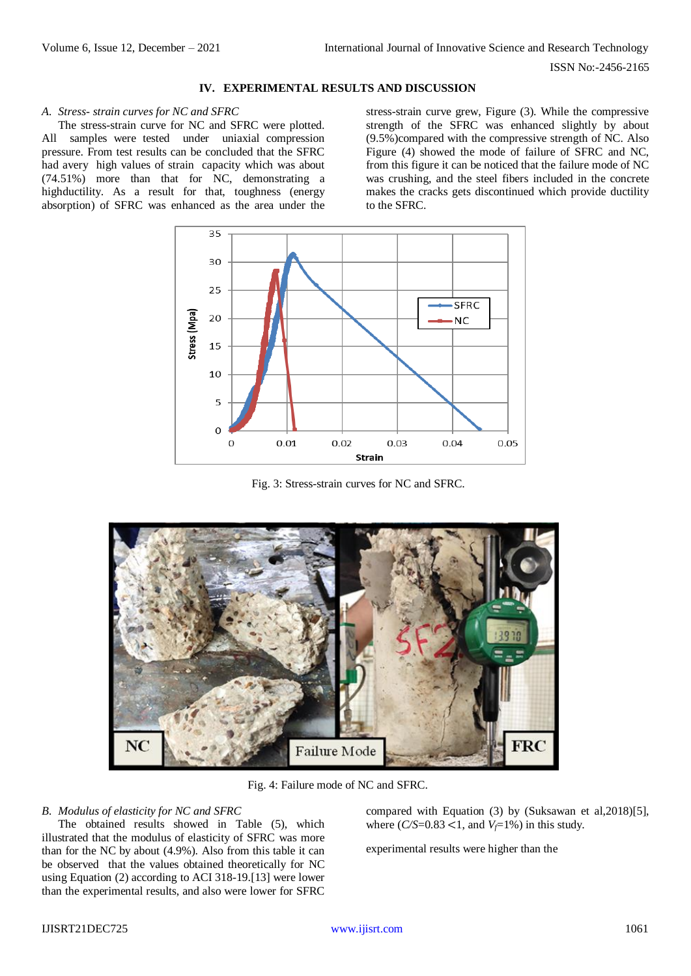#### **IV. EXPERIMENTAL RESULTS AND DISCUSSION**

#### *A. Stress- strain curves for NC and SFRC*

The stress-strain curve for NC and SFRC were plotted. All samples were tested under uniaxial compression pressure. From test results can be concluded that the SFRC had avery high values of strain capacity which was about (74.51%) more than that for NC, demonstrating a highductility. As a result for that, toughness (energy absorption) of SFRC was enhanced as the area under the

stress-strain curve grew, Figure (3). While the compressive strength of the SFRC was enhanced slightly by about (9.5%)compared with the compressive strength of NC. Also Figure (4) showed the mode of failure of SFRC and NC, from this figure it can be noticed that the failure mode of NC was crushing, and the steel fibers included in the concrete makes the cracks gets discontinued which provide ductility to the SFRC.



Fig. 3: Stress-strain curves for NC and SFRC.



Fig. 4: Failure mode of NC and SFRC.

#### *B. Modulus of elasticity for NC and SFRC*

The obtained results showed in Table (5), which illustrated that the modulus of elasticity of SFRC was more than for the NC by about (4.9%). Also from this table it can be observed that the values obtained theoretically for NC using Equation (2) according to ACI 318-19.[13] were lower than the experimental results, and also were lower for SFRC

compared with Equation (3) by (Suksawan et al,2018)[5], where  $(C/S=0.83 < 1$ , and  $V_f=1\%$ ) in this study.

experimental results were higher than the